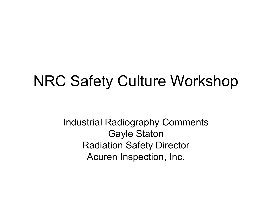### NRC Safety Culture Workshop

Industrial Radiography Comments Gayle Staton Radiation Safety Director Acuren Inspection, Inc.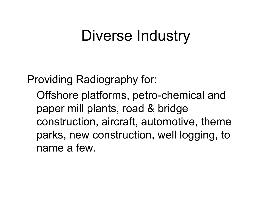### Diverse Industry

Providing Radiography for:

Offshore platforms, petro-chemical and paper mill plants, road & bridge construction, aircraft, automotive, theme parks, new construction, well logging, to name a few.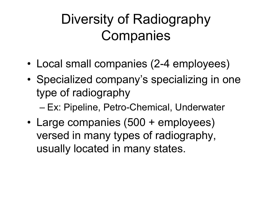# Diversity of Radiography **Companies**

- •Local small companies (2-4 employees)
- • Specialized company's specializing in one type of radiography

– Ex: Pipeline, Petro-Chemical, Underwater

•Large companies (500 + employees) versed in many types of radiography, usually located in many states.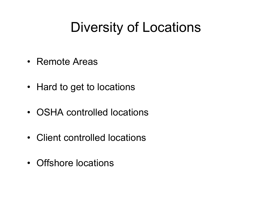### Diversity of Locations

- Remote Areas
- Hard to get to locations
- OSHA controlled locations
- Client controlled locations
- Offshore locations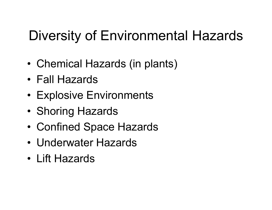# Diversity of Environmental Hazards

- •Chemical Hazards (in plants)
- Fall Hazards
- Explosive Environments
- •Shoring Hazards
- •Confined Space Hazards
- Underwater Hazards
- Lift Hazards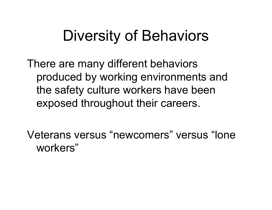# Diversity of Behaviors

There are many different behaviors produced by working environments and the safety culture workers have been exposed throughout their careers.

Veterans versus "newcomers" versus "lone workers"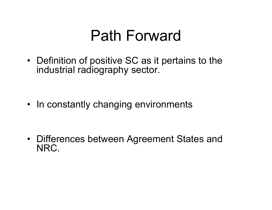# Path Forward

• Definition of positive SC as it pertains to the industrial radiography sector.

• In constantly changing environments

• Differences between Agreement States and NRC.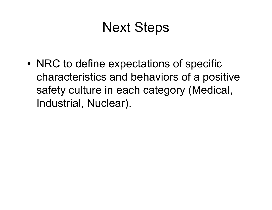### Next Steps

• NRC to define expectations of specific characteristics and behaviors of a positive safety culture in each category (Medical, Industrial, Nuclear).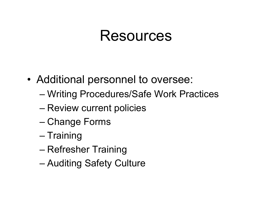#### Resources

- Additional personnel to oversee:
	- Writing Procedures/Safe Work Practices
	- Review current policies
	- Change Forms
	- Training
	- Refresher Training
	- Auditing Safety Culture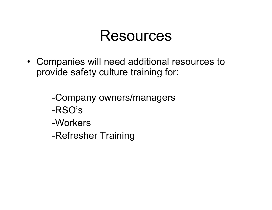### Resources

• Companies will need additional resources to provide safety culture training for:

> -Company owners/managers -RSO's-Workers-Refresher Training